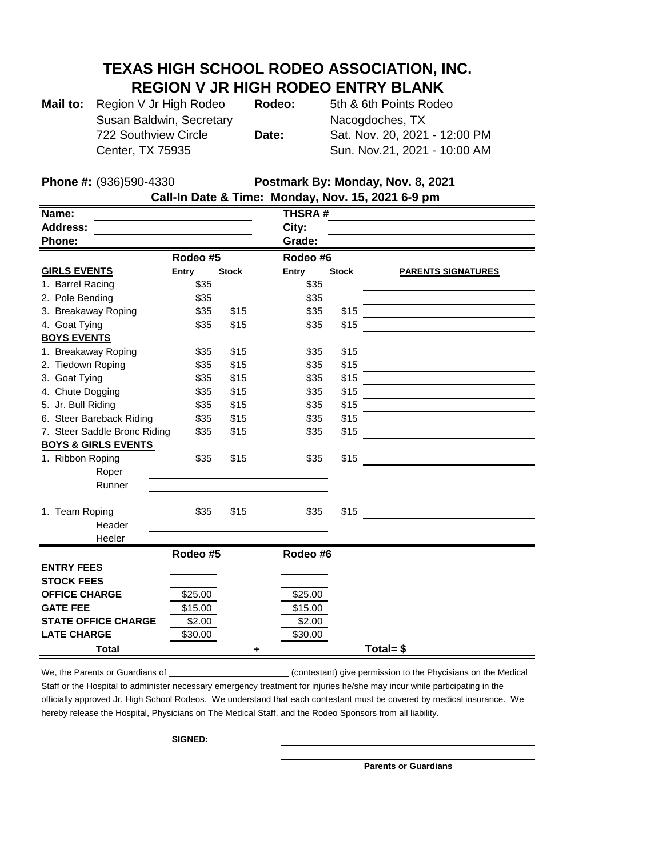## **TEXAS HIGH SCHOOL RODEO ASSOCIATION, INC. REGION V JR HIGH RODEO ENTRY BLANK**

| Mail to: Region V Jr High Rodeo | Rodeo: | 5th & 6th Points Rodeo        |
|---------------------------------|--------|-------------------------------|
| Susan Baldwin, Secretary        |        | Nacogdoches, TX               |
| 722 Southview Circle            | Date:  | Sat. Nov. 20, 2021 - 12:00 PM |
| Center, TX 75935                |        | Sun. Nov.21, 2021 - 10:00 AM  |

**Phone #:** (936)590-4330 **Postmark By: Monday, Nov. 8, 2021**

| Call-In Date & Time: Monday, Nov. 15, 2021 6-9 pm |          |              |               |              |                           |  |  |  |  |
|---------------------------------------------------|----------|--------------|---------------|--------------|---------------------------|--|--|--|--|
| Name:                                             |          |              | <b>THSRA#</b> |              |                           |  |  |  |  |
| <b>Address:</b>                                   |          |              | City:         |              |                           |  |  |  |  |
| Phone:                                            |          |              | Grade:        |              |                           |  |  |  |  |
|                                                   | Rodeo #5 |              | Rodeo #6      |              |                           |  |  |  |  |
| <b>GIRLS EVENTS</b>                               | Entry    | <b>Stock</b> | <b>Entry</b>  | <b>Stock</b> | <b>PARENTS SIGNATURES</b> |  |  |  |  |
| 1. Barrel Racing                                  | \$35     |              | \$35          |              |                           |  |  |  |  |
| 2. Pole Bending                                   | \$35     |              | \$35          |              |                           |  |  |  |  |
| 3. Breakaway Roping                               | \$35     | \$15         | \$35          | \$15         |                           |  |  |  |  |
| 4. Goat Tying                                     | \$35     | \$15         | \$35          | \$15         |                           |  |  |  |  |
| <b>BOYS EVENTS</b>                                |          |              |               |              |                           |  |  |  |  |
| 1. Breakaway Roping                               | \$35     | \$15         | \$35          | \$15         |                           |  |  |  |  |
| 2. Tiedown Roping                                 | \$35     | \$15         | \$35          | \$15         |                           |  |  |  |  |
| 3. Goat Tying                                     | \$35     | \$15         | \$35          | \$15         |                           |  |  |  |  |
| 4. Chute Dogging                                  | \$35     | \$15         | \$35          | \$15         |                           |  |  |  |  |
| 5. Jr. Bull Riding                                | \$35     | \$15         | \$35          | \$15         |                           |  |  |  |  |
| 6. Steer Bareback Riding                          | \$35     | \$15         | \$35          | \$15         |                           |  |  |  |  |
| 7. Steer Saddle Bronc Riding                      | \$35     | \$15         | \$35          | \$15         |                           |  |  |  |  |
| <b>BOYS &amp; GIRLS EVENTS</b>                    |          |              |               |              |                           |  |  |  |  |
| 1. Ribbon Roping                                  | \$35     | \$15         | \$35          | \$15         |                           |  |  |  |  |
| Roper                                             |          |              |               |              |                           |  |  |  |  |
| Runner                                            |          |              |               |              |                           |  |  |  |  |
|                                                   |          |              |               |              |                           |  |  |  |  |
| 1. Team Roping                                    | \$35     | \$15         | \$35          | \$15         |                           |  |  |  |  |
| Header                                            |          |              |               |              |                           |  |  |  |  |
| Heeler                                            |          |              |               |              |                           |  |  |  |  |
|                                                   | Rodeo #5 |              | Rodeo #6      |              |                           |  |  |  |  |
| <b>ENTRY FEES</b>                                 |          |              |               |              |                           |  |  |  |  |
| <b>STOCK FEES</b>                                 |          |              |               |              |                           |  |  |  |  |
| <b>OFFICE CHARGE</b>                              | \$25.00  |              | \$25.00       |              |                           |  |  |  |  |
| <b>GATE FEE</b>                                   | \$15.00  |              | \$15.00       |              |                           |  |  |  |  |
| <b>STATE OFFICE CHARGE</b>                        | \$2.00   |              | \$2.00        |              |                           |  |  |  |  |
| <b>LATE CHARGE</b>                                | \$30.00  |              | \$30.00       |              |                           |  |  |  |  |
| <b>Total</b>                                      |          | ٠            |               |              | Total= $$$                |  |  |  |  |

**Call-In Date & Time: Monday, Nov. 15, 2021 6-9 pm**

We, the Parents or Guardians of \_\_\_\_\_\_\_\_\_\_\_\_\_\_\_\_\_\_\_\_\_\_\_\_\_\_\_\_(contestant) give permission to the Phycisians on the Medical Staff or the Hospital to administer necessary emergency treatment for injuries he/she may incur while participating in the officially approved Jr. High School Rodeos. We understand that each contestant must be covered by medical insurance. We hereby release the Hospital, Physicians on The Medical Staff, and the Rodeo Sponsors from all liability.

**SIGNED:** 

**Parents or Guardians**